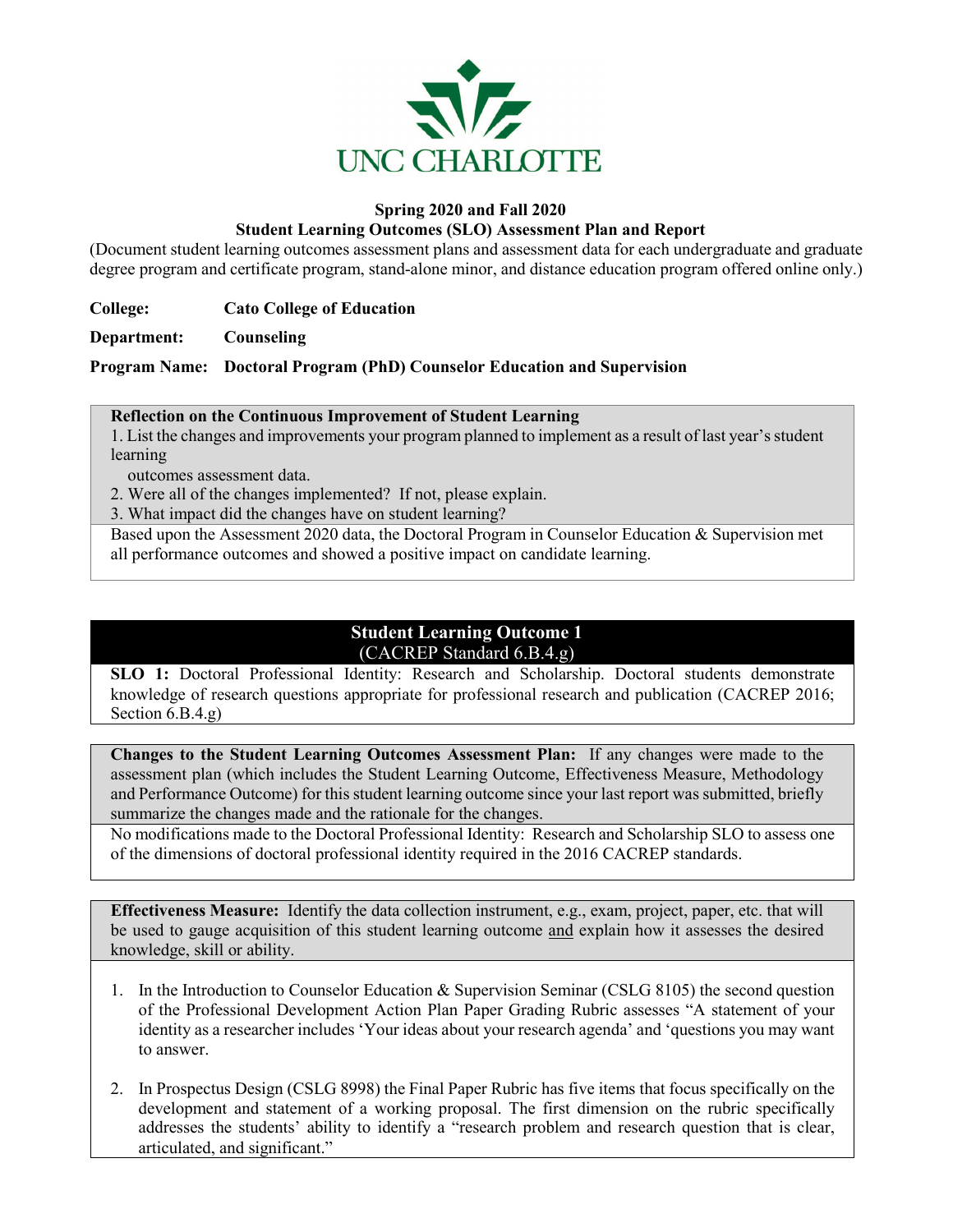

#### **Spring 2020 and Fall 2020**

#### **Student Learning Outcomes (SLO) Assessment Plan and Report**

(Document student learning outcomes assessment plans and assessment data for each undergraduate and graduate degree program and certificate program, stand-alone minor, and distance education program offered online only.)

**College: Cato College of Education**

**Department: Counseling**

**Program Name: Doctoral Program (PhD) Counselor Education and Supervision**

#### **Reflection on the Continuous Improvement of Student Learning**

1. List the changes and improvements your program planned to implement as a result of last year's student learning

outcomes assessment data.

2. Were all of the changes implemented? If not, please explain.

3. What impact did the changes have on student learning?

Based upon the Assessment 2020 data, the Doctoral Program in Counselor Education & Supervision met all performance outcomes and showed a positive impact on candidate learning.

# **Student Learning Outcome 1** (CACREP Standard 6.B.4.g)

**SLO 1:** Doctoral Professional Identity: Research and Scholarship. Doctoral students demonstrate knowledge of research questions appropriate for professional research and publication (CACREP 2016; Section 6.B.4.g)

**Changes to the Student Learning Outcomes Assessment Plan:** If any changes were made to the assessment plan (which includes the Student Learning Outcome, Effectiveness Measure, Methodology and Performance Outcome) for this student learning outcome since your last report was submitted, briefly summarize the changes made and the rationale for the changes.

No modifications made to the Doctoral Professional Identity: Research and Scholarship SLO to assess one of the dimensions of doctoral professional identity required in the 2016 CACREP standards.

**Effectiveness Measure:** Identify the data collection instrument, e.g., exam, project, paper, etc. that will be used to gauge acquisition of this student learning outcome and explain how it assesses the desired knowledge, skill or ability.

- 1. In the Introduction to Counselor Education & Supervision Seminar (CSLG 8105) the second question of the Professional Development Action Plan Paper Grading Rubric assesses "A statement of your identity as a researcher includes 'Your ideas about your research agenda' and 'questions you may want to answer.
- 2. In Prospectus Design (CSLG 8998) the Final Paper Rubric has five items that focus specifically on the development and statement of a working proposal. The first dimension on the rubric specifically addresses the students' ability to identify a "research problem and research question that is clear, articulated, and significant."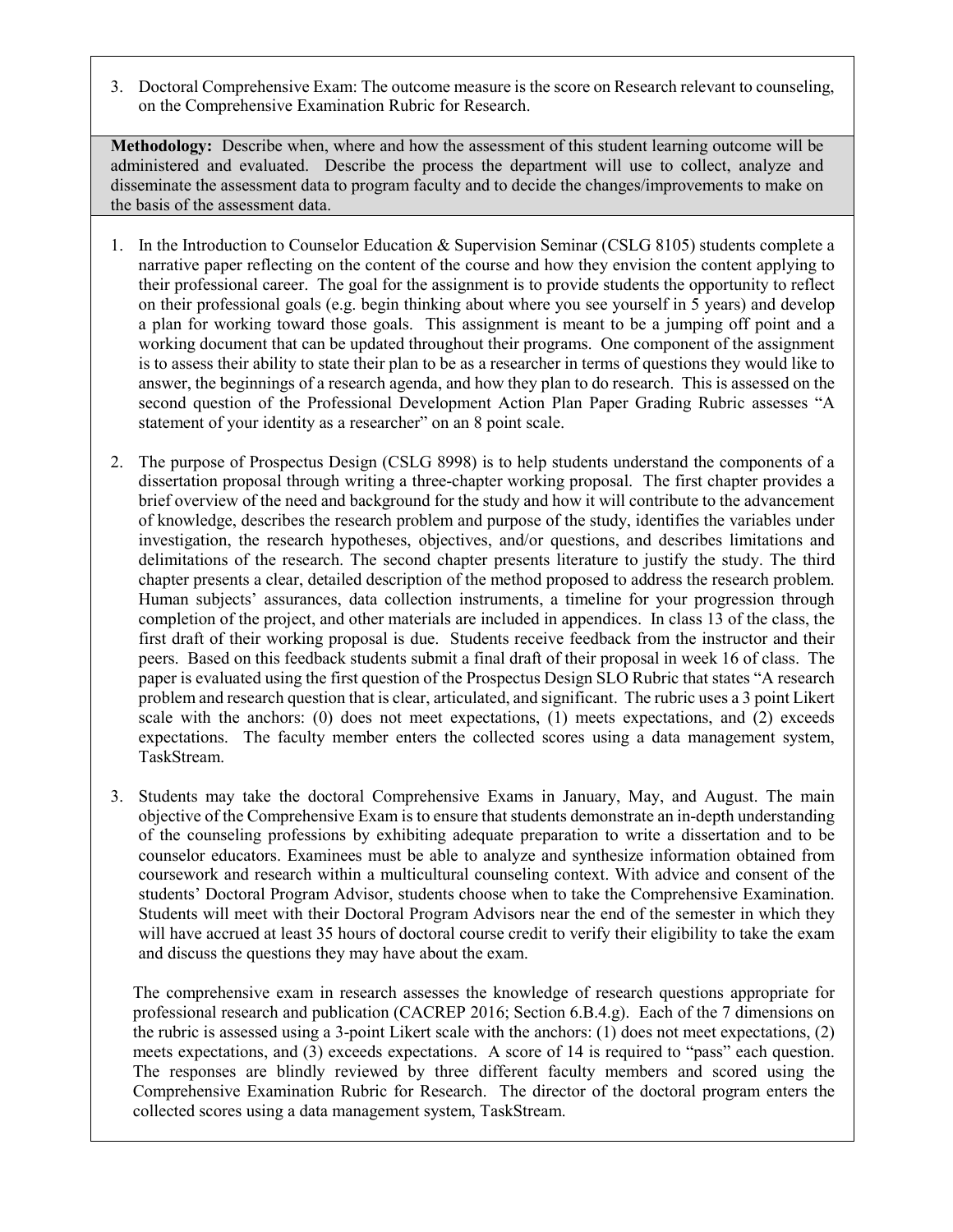3. Doctoral Comprehensive Exam: The outcome measure is the score on Research relevant to counseling, on the Comprehensive Examination Rubric for Research.

**Methodology:** Describe when, where and how the assessment of this student learning outcome will be administered and evaluated. Describe the process the department will use to collect, analyze and disseminate the assessment data to program faculty and to decide the changes/improvements to make on the basis of the assessment data.

- 1. In the Introduction to Counselor Education & Supervision Seminar (CSLG 8105) students complete a narrative paper reflecting on the content of the course and how they envision the content applying to their professional career. The goal for the assignment is to provide students the opportunity to reflect on their professional goals (e.g. begin thinking about where you see yourself in 5 years) and develop a plan for working toward those goals. This assignment is meant to be a jumping off point and a working document that can be updated throughout their programs. One component of the assignment is to assess their ability to state their plan to be as a researcher in terms of questions they would like to answer, the beginnings of a research agenda, and how they plan to do research. This is assessed on the second question of the Professional Development Action Plan Paper Grading Rubric assesses "A statement of your identity as a researcher" on an 8 point scale.
- 2. The purpose of Prospectus Design (CSLG 8998) is to help students understand the components of a dissertation proposal through writing a three-chapter working proposal. The first chapter provides a brief overview of the need and background for the study and how it will contribute to the advancement of knowledge, describes the research problem and purpose of the study, identifies the variables under investigation, the research hypotheses, objectives, and/or questions, and describes limitations and delimitations of the research. The second chapter presents literature to justify the study. The third chapter presents a clear, detailed description of the method proposed to address the research problem. Human subjects' assurances, data collection instruments, a timeline for your progression through completion of the project, and other materials are included in appendices. In class 13 of the class, the first draft of their working proposal is due. Students receive feedback from the instructor and their peers. Based on this feedback students submit a final draft of their proposal in week 16 of class. The paper is evaluated using the first question of the Prospectus Design SLO Rubric that states "A research problem and research question that is clear, articulated, and significant. The rubric uses a 3 point Likert scale with the anchors: (0) does not meet expectations, (1) meets expectations, and (2) exceeds expectations. The faculty member enters the collected scores using a data management system, TaskStream.
- 3. Students may take the doctoral Comprehensive Exams in January, May, and August. The main objective of the Comprehensive Exam is to ensure that students demonstrate an in-depth understanding of the counseling professions by exhibiting adequate preparation to write a dissertation and to be counselor educators. Examinees must be able to analyze and synthesize information obtained from coursework and research within a multicultural counseling context. With advice and consent of the students' Doctoral Program Advisor, students choose when to take the Comprehensive Examination. Students will meet with their Doctoral Program Advisors near the end of the semester in which they will have accrued at least 35 hours of doctoral course credit to verify their eligibility to take the exam and discuss the questions they may have about the exam.

The comprehensive exam in research assesses the knowledge of research questions appropriate for professional research and publication (CACREP 2016; Section 6.B.4.g). Each of the 7 dimensions on the rubric is assessed using a 3-point Likert scale with the anchors: (1) does not meet expectations, (2) meets expectations, and (3) exceeds expectations. A score of 14 is required to "pass" each question. The responses are blindly reviewed by three different faculty members and scored using the Comprehensive Examination Rubric for Research. The director of the doctoral program enters the collected scores using a data management system, TaskStream.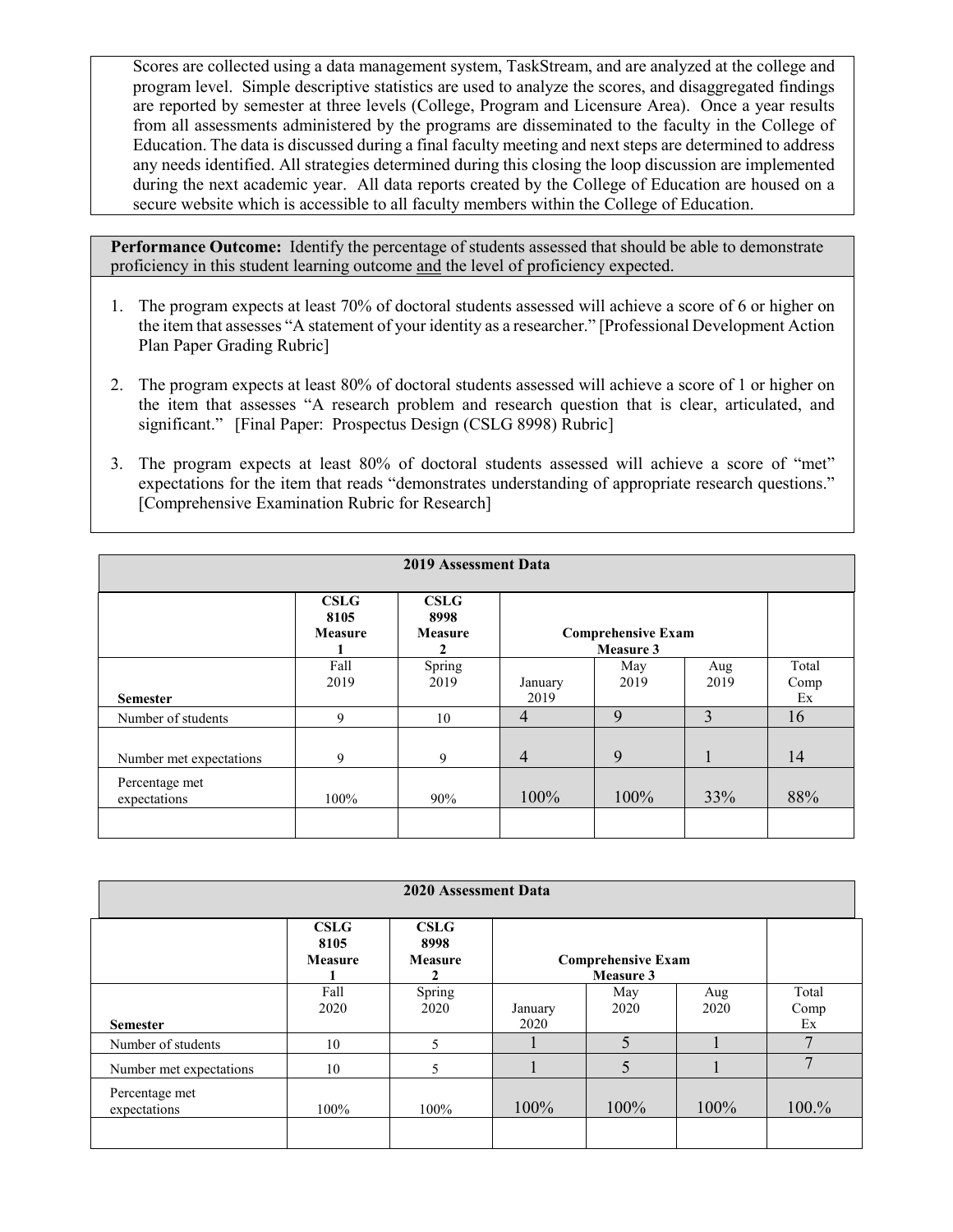Scores are collected using a data management system, TaskStream, and are analyzed at the college and program level. Simple descriptive statistics are used to analyze the scores, and disaggregated findings are reported by semester at three levels (College, Program and Licensure Area). Once a year results from all assessments administered by the programs are disseminated to the faculty in the College of Education. The data is discussed during a final faculty meeting and next steps are determined to address any needs identified. All strategies determined during this closing the loop discussion are implemented during the next academic year. All data reports created by the College of Education are housed on a secure website which is accessible to all faculty members within the College of Education.

- 1. The program expects at least 70% of doctoral students assessed will achieve a score of 6 or higher on the item that assesses "A statement of your identity as a researcher." [Professional Development Action Plan Paper Grading Rubric]
- 2. The program expects at least 80% of doctoral students assessed will achieve a score of 1 or higher on the item that assesses "A research problem and research question that is clear, articulated, and significant."[Final Paper: Prospectus Design (CSLG 8998) Rubric]
- 3. The program expects at least 80% of doctoral students assessed will achieve a score of "met" expectations for the item that reads "demonstrates understanding of appropriate research questions." [Comprehensive Examination Rubric for Research]

| <b>2019 Assessment Data</b>    |                                |                                     |                 |                                               |             |                     |
|--------------------------------|--------------------------------|-------------------------------------|-----------------|-----------------------------------------------|-------------|---------------------|
|                                | CSLG<br>8105<br><b>Measure</b> | CSLG<br>8998<br><b>Measure</b><br>2 |                 | <b>Comprehensive Exam</b><br><b>Measure 3</b> |             |                     |
| <b>Semester</b>                | Fall<br>2019                   | Spring<br>2019                      | January<br>2019 | May<br>2019                                   | Aug<br>2019 | Total<br>Comp<br>Ex |
| Number of students             | 9                              | 10                                  | 4               | 9                                             | 3           | 16                  |
| Number met expectations        | 9                              | 9                                   | $\overline{4}$  | 9                                             |             | 14                  |
| Percentage met<br>expectations | 100%                           | 90%                                 | 100%            | 100%                                          | 33%         | 88%                 |

| 2020 Assessment Data           |                         |                                |                 |                                        |             |                     |
|--------------------------------|-------------------------|--------------------------------|-----------------|----------------------------------------|-------------|---------------------|
|                                | CSLG<br>8105<br>Measure | CSLG<br>8998<br><b>Measure</b> |                 | <b>Comprehensive Exam</b><br>Measure 3 |             |                     |
| <b>Semester</b>                | Fall<br>2020            | Spring<br>2020                 | January<br>2020 | May<br>2020                            | Aug<br>2020 | Total<br>Comp<br>Ex |
| Number of students             | 10                      | 5                              |                 | 5                                      |             | $\mathcal{L}$       |
| Number met expectations        | 10                      | 5                              |                 | 5                                      |             | $\mathbf{r}$        |
| Percentage met<br>expectations | 100%                    | 100%                           | 100%            | 100%                                   | 100%        | 100.%               |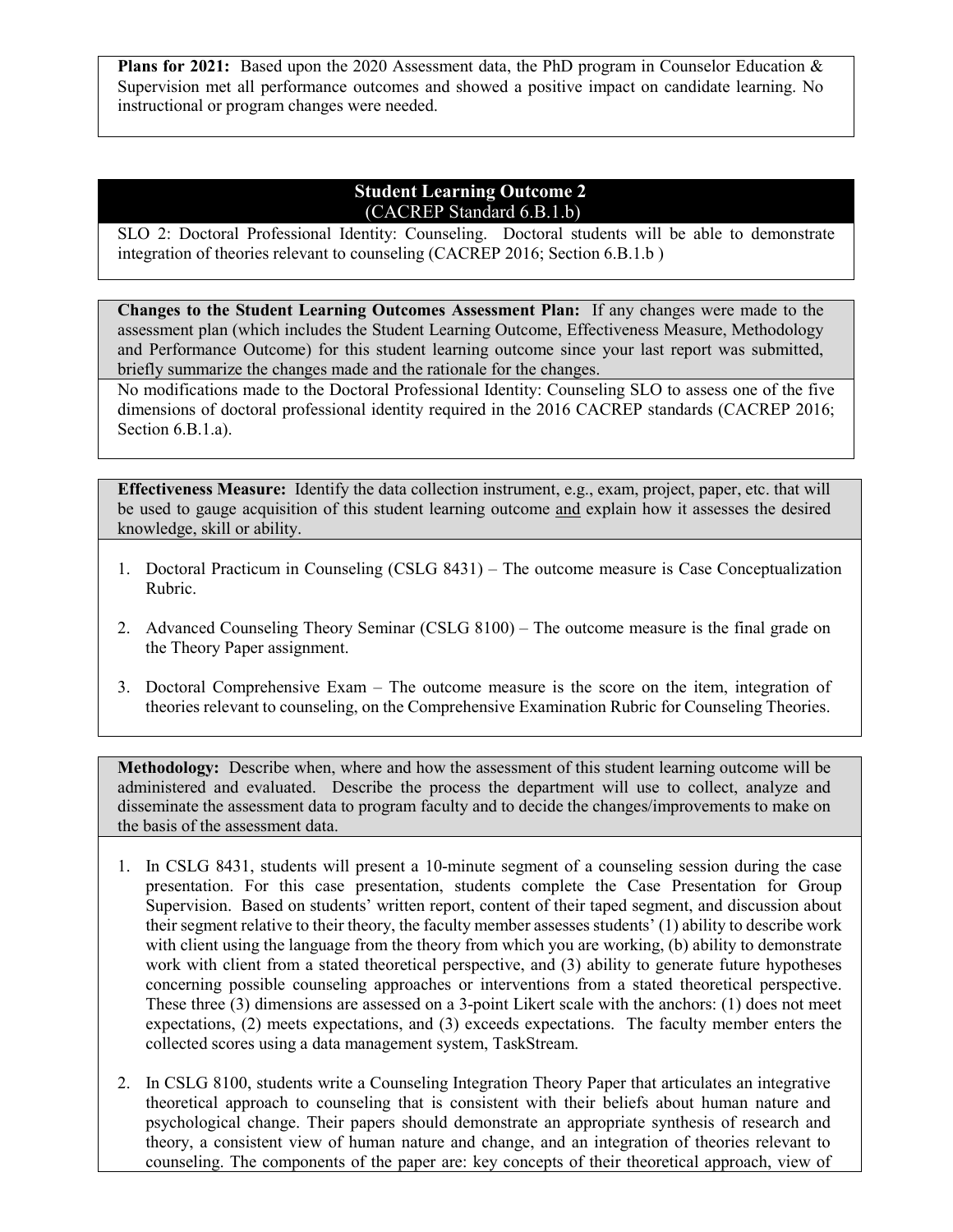**Plans for 2021:** Based upon the 2020 Assessment data, the PhD program in Counselor Education & Supervision met all performance outcomes and showed a positive impact on candidate learning. No instructional or program changes were needed.

# **Student Learning Outcome 2** (CACREP Standard 6.B.1.b)

SLO 2: Doctoral Professional Identity: Counseling. Doctoral students will be able to demonstrate integration of theories relevant to counseling (CACREP 2016; Section 6.B.1.b )

**Changes to the Student Learning Outcomes Assessment Plan:** If any changes were made to the assessment plan (which includes the Student Learning Outcome, Effectiveness Measure, Methodology and Performance Outcome) for this student learning outcome since your last report was submitted, briefly summarize the changes made and the rationale for the changes.

No modifications made to the Doctoral Professional Identity: Counseling SLO to assess one of the five dimensions of doctoral professional identity required in the 2016 CACREP standards (CACREP 2016; Section 6.B.1.a).

**Effectiveness Measure:** Identify the data collection instrument, e.g., exam, project, paper, etc. that will be used to gauge acquisition of this student learning outcome and explain how it assesses the desired knowledge, skill or ability.

- 1. Doctoral Practicum in Counseling (CSLG 8431) The outcome measure is Case Conceptualization Rubric.
- 2. Advanced Counseling Theory Seminar (CSLG 8100) The outcome measure is the final grade on the Theory Paper assignment.
- 3. Doctoral Comprehensive Exam The outcome measure is the score on the item, integration of theories relevant to counseling, on the Comprehensive Examination Rubric for Counseling Theories.

**Methodology:** Describe when, where and how the assessment of this student learning outcome will be administered and evaluated. Describe the process the department will use to collect, analyze and disseminate the assessment data to program faculty and to decide the changes/improvements to make on the basis of the assessment data.

- 1. In CSLG 8431, students will present a 10-minute segment of a counseling session during the case presentation. For this case presentation, students complete the Case Presentation for Group Supervision. Based on students' written report, content of their taped segment, and discussion about their segment relative to their theory, the faculty member assesses students' (1) ability to describe work with client using the language from the theory from which you are working, (b) ability to demonstrate work with client from a stated theoretical perspective, and (3) ability to generate future hypotheses concerning possible counseling approaches or interventions from a stated theoretical perspective. These three (3) dimensions are assessed on a 3-point Likert scale with the anchors: (1) does not meet expectations, (2) meets expectations, and (3) exceeds expectations. The faculty member enters the collected scores using a data management system, TaskStream.
- 2. In CSLG 8100, students write a Counseling Integration Theory Paper that articulates an integrative theoretical approach to counseling that is consistent with their beliefs about human nature and psychological change. Their papers should demonstrate an appropriate synthesis of research and theory, a consistent view of human nature and change, and an integration of theories relevant to counseling. The components of the paper are: key concepts of their theoretical approach, view of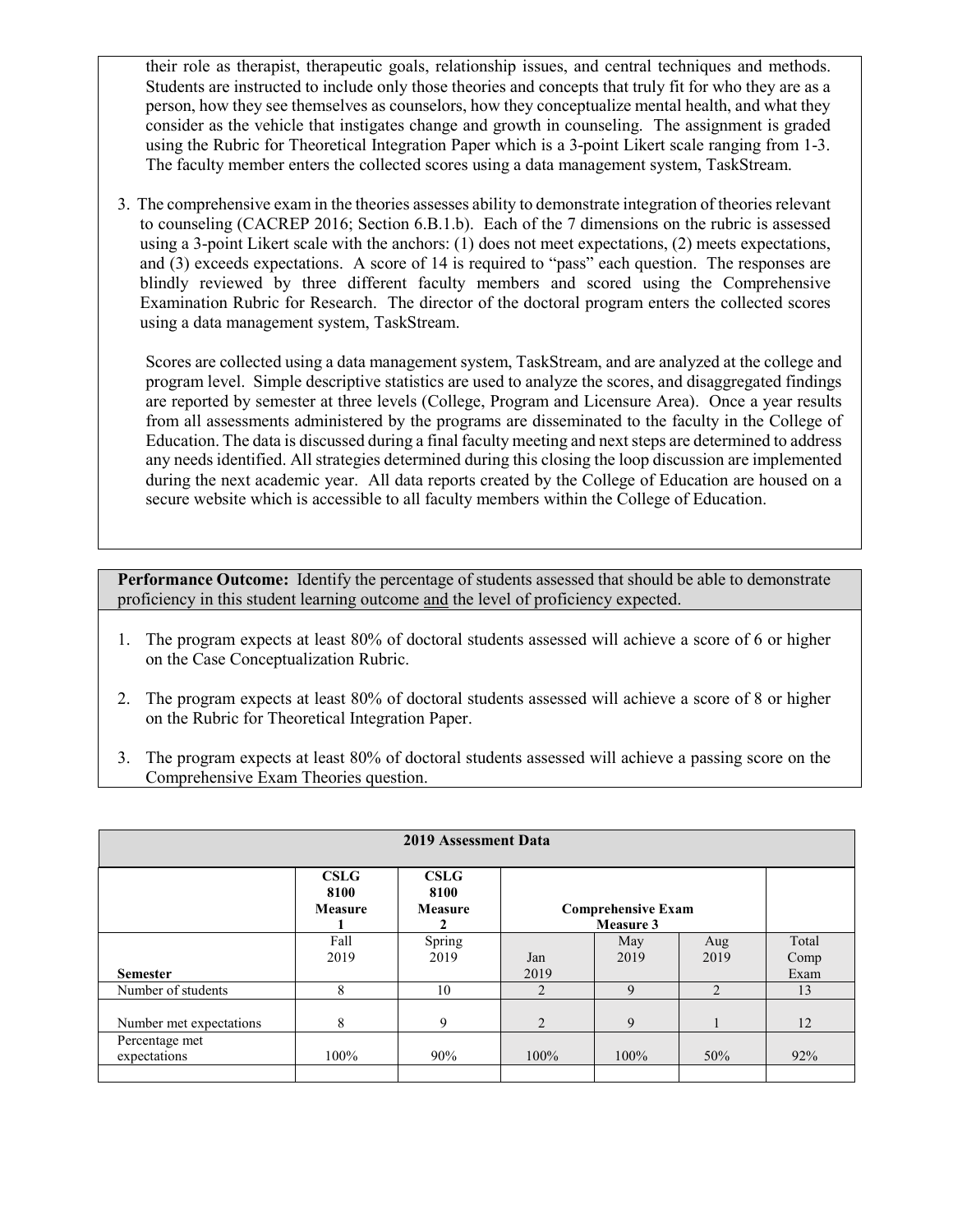their role as therapist, therapeutic goals, relationship issues, and central techniques and methods. Students are instructed to include only those theories and concepts that truly fit for who they are as a person, how they see themselves as counselors, how they conceptualize mental health, and what they consider as the vehicle that instigates change and growth in counseling. The assignment is graded using the Rubric for Theoretical Integration Paper which is a 3-point Likert scale ranging from 1-3. The faculty member enters the collected scores using a data management system, TaskStream.

3. The comprehensive exam in the theories assesses ability to demonstrate integration of theories relevant to counseling (CACREP 2016; Section 6.B.1.b). Each of the 7 dimensions on the rubric is assessed using a 3-point Likert scale with the anchors: (1) does not meet expectations, (2) meets expectations, and (3) exceeds expectations. A score of 14 is required to "pass" each question. The responses are blindly reviewed by three different faculty members and scored using the Comprehensive Examination Rubric for Research. The director of the doctoral program enters the collected scores using a data management system, TaskStream.

Scores are collected using a data management system, TaskStream, and are analyzed at the college and program level. Simple descriptive statistics are used to analyze the scores, and disaggregated findings are reported by semester at three levels (College, Program and Licensure Area). Once a year results from all assessments administered by the programs are disseminated to the faculty in the College of Education. The data is discussed during a final faculty meeting and next steps are determined to address any needs identified. All strategies determined during this closing the loop discussion are implemented during the next academic year. All data reports created by the College of Education are housed on a secure website which is accessible to all faculty members within the College of Education.

- 1. The program expects at least 80% of doctoral students assessed will achieve a score of 6 or higher on the Case Conceptualization Rubric.
- 2. The program expects at least 80% of doctoral students assessed will achieve a score of 8 or higher on the Rubric for Theoretical Integration Paper.
- 3. The program expects at least 80% of doctoral students assessed will achieve a passing score on the Comprehensive Exam Theories question.

| 2019 Assessment Data                          |                                       |                                     |                     |                                        |                |                       |
|-----------------------------------------------|---------------------------------------|-------------------------------------|---------------------|----------------------------------------|----------------|-----------------------|
|                                               | <b>CSLG</b><br>8100<br><b>Measure</b> | CSLG<br>8100<br><b>Measure</b><br>2 |                     | <b>Comprehensive Exam</b><br>Measure 3 |                |                       |
| <b>Semester</b>                               | Fall<br>2019                          | Spring<br>2019                      | Jan<br>2019         | May<br>2019                            | Aug<br>2019    | Total<br>Comp<br>Exam |
| Number of students<br>Number met expectations | 8<br>8                                | 10<br>9                             | $\mathfrak{D}$<br>2 | 9<br>9                                 | $\mathfrak{D}$ | 13<br>12              |
| Percentage met<br>expectations                | 100%                                  | 90%                                 | 100%                | 100%                                   | 50%            | 92%                   |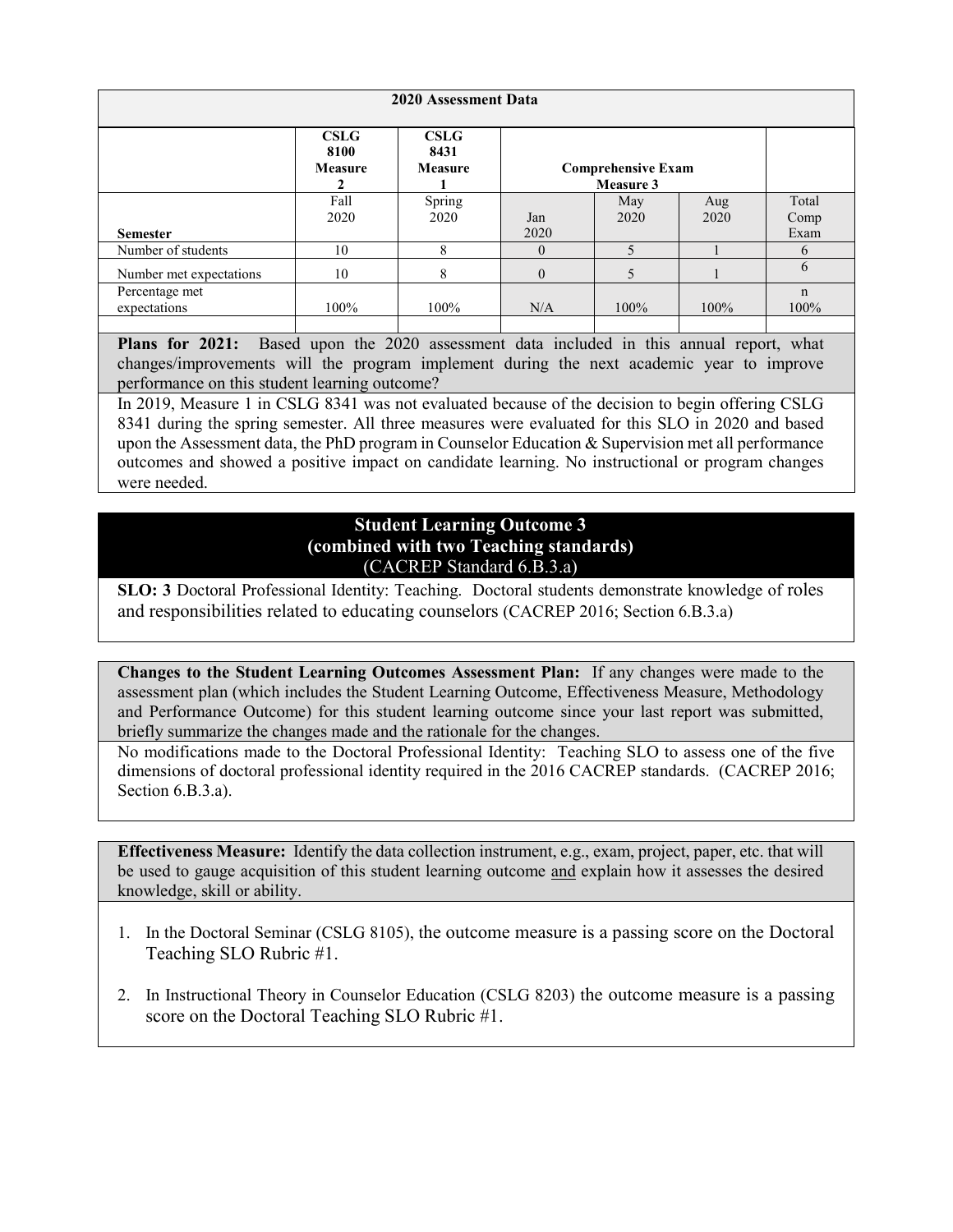| 2020 Assessment Data           |                                |                                       |              |                                        |      |                     |
|--------------------------------|--------------------------------|---------------------------------------|--------------|----------------------------------------|------|---------------------|
|                                | CSLG<br>8100<br><b>Measure</b> | <b>CSLG</b><br>8431<br><b>Measure</b> |              | <b>Comprehensive Exam</b><br>Measure 3 |      |                     |
|                                | Fall                           | Spring                                |              | May                                    | Aug  | Total               |
|                                | 2020                           | 2020                                  | Jan          | 2020                                   | 2020 | Comp                |
| <b>Semester</b>                |                                |                                       | 2020         |                                        |      | Exam                |
| Number of students             | 10                             | 8                                     | $\theta$     | 5                                      |      | 6                   |
| Number met expectations        | 10                             | 8                                     | $\mathbf{0}$ | 5                                      |      | 6                   |
| Percentage met<br>expectations | 100%                           | 100%                                  | N/A          | 100%                                   | 100% | $\mathbf n$<br>100% |
|                                |                                |                                       |              |                                        |      |                     |

Plans for 2021: Based upon the 2020 assessment data included in this annual report, what changes/improvements will the program implement during the next academic year to improve performance on this student learning outcome?

In 2019, Measure 1 in CSLG 8341 was not evaluated because of the decision to begin offering CSLG 8341 during the spring semester. All three measures were evaluated for this SLO in 2020 and based upon the Assessment data, the PhD program in Counselor Education & Supervision met all performance outcomes and showed a positive impact on candidate learning. No instructional or program changes were needed.

## **Student Learning Outcome 3 (combined with two Teaching standards)** (CACREP Standard 6.B.3.a)

**SLO: 3** Doctoral Professional Identity: Teaching. Doctoral students demonstrate knowledge of roles and responsibilities related to educating counselors (CACREP 2016; Section 6.B.3.a)

**Changes to the Student Learning Outcomes Assessment Plan:** If any changes were made to the assessment plan (which includes the Student Learning Outcome, Effectiveness Measure, Methodology and Performance Outcome) for this student learning outcome since your last report was submitted, briefly summarize the changes made and the rationale for the changes.

No modifications made to the Doctoral Professional Identity: Teaching SLO to assess one of the five dimensions of doctoral professional identity required in the 2016 CACREP standards. (CACREP 2016; Section 6.B.3.a).

**Effectiveness Measure:** Identify the data collection instrument, e.g., exam, project, paper, etc. that will be used to gauge acquisition of this student learning outcome and explain how it assesses the desired knowledge, skill or ability.

- 1. In the Doctoral Seminar (CSLG 8105), the outcome measure is a passing score on the Doctoral Teaching SLO Rubric #1.
- 2. In Instructional Theory in Counselor Education (CSLG 8203) the outcome measure is a passing score on the Doctoral Teaching SLO Rubric #1.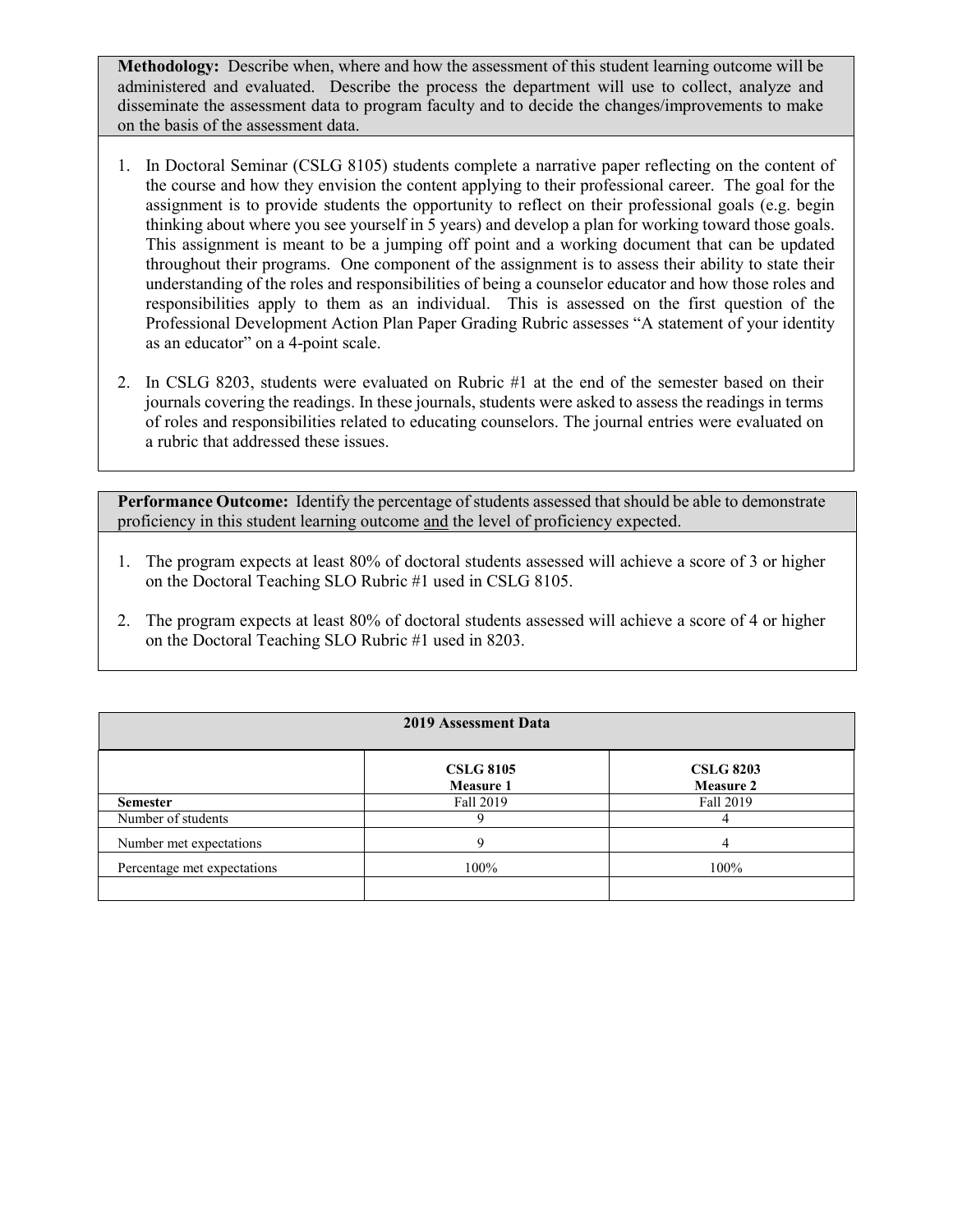**Methodology:** Describe when, where and how the assessment of this student learning outcome will be administered and evaluated. Describe the process the department will use to collect, analyze and disseminate the assessment data to program faculty and to decide the changes/improvements to make on the basis of the assessment data.

- 1. In Doctoral Seminar (CSLG 8105) students complete a narrative paper reflecting on the content of the course and how they envision the content applying to their professional career. The goal for the assignment is to provide students the opportunity to reflect on their professional goals (e.g. begin thinking about where you see yourself in 5 years) and develop a plan for working toward those goals. This assignment is meant to be a jumping off point and a working document that can be updated throughout their programs. One component of the assignment is to assess their ability to state their understanding of the roles and responsibilities of being a counselor educator and how those roles and responsibilities apply to them as an individual. This is assessed on the first question of the Professional Development Action Plan Paper Grading Rubric assesses "A statement of your identity as an educator" on a 4-point scale.
- 2. In CSLG 8203, students were evaluated on Rubric #1 at the end of the semester based on their journals covering the readings. In these journals, students were asked to assess the readings in terms of roles and responsibilities related to educating counselors. The journal entries were evaluated on a rubric that addressed these issues.

- 1. The program expects at least 80% of doctoral students assessed will achieve a score of 3 or higher on the Doctoral Teaching SLO Rubric #1 used in CSLG 8105.
- 2. The program expects at least 80% of doctoral students assessed will achieve a score of 4 or higher on the Doctoral Teaching SLO Rubric #1 used in 8203.

| <b>2019 Assessment Data</b> |                                      |                                      |  |  |  |
|-----------------------------|--------------------------------------|--------------------------------------|--|--|--|
|                             | <b>CSLG 8105</b><br><b>Measure 1</b> | <b>CSLG 8203</b><br><b>Measure 2</b> |  |  |  |
| <b>Semester</b>             | Fall 2019                            | Fall 2019                            |  |  |  |
| Number of students          |                                      |                                      |  |  |  |
| Number met expectations     |                                      |                                      |  |  |  |
| Percentage met expectations | 100%                                 | 100%                                 |  |  |  |
|                             |                                      |                                      |  |  |  |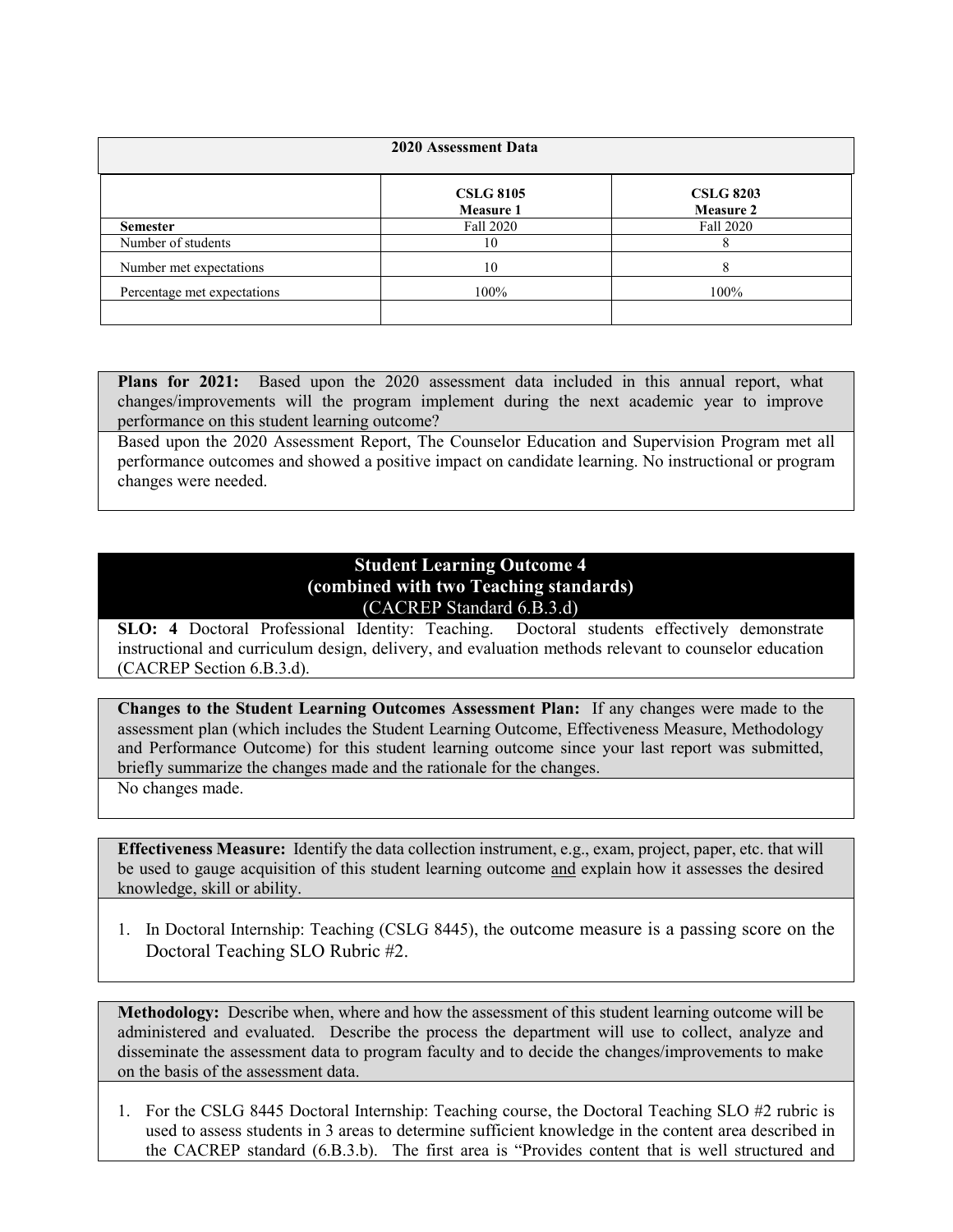| 2020 Assessment Data        |                                      |                                      |  |  |  |
|-----------------------------|--------------------------------------|--------------------------------------|--|--|--|
|                             | <b>CSLG 8105</b><br><b>Measure 1</b> | <b>CSLG 8203</b><br><b>Measure 2</b> |  |  |  |
| <b>Semester</b>             | Fall 2020                            | Fall 2020                            |  |  |  |
| Number of students          | 10                                   |                                      |  |  |  |
| Number met expectations     | 10                                   | 8                                    |  |  |  |
| Percentage met expectations | 100%                                 | 100%                                 |  |  |  |
|                             |                                      |                                      |  |  |  |

**Plans for 2021:** Based upon the 2020 assessment data included in this annual report, what changes/improvements will the program implement during the next academic year to improve performance on this student learning outcome?

Based upon the 2020 Assessment Report, The Counselor Education and Supervision Program met all performance outcomes and showed a positive impact on candidate learning. No instructional or program changes were needed.

## **Student Learning Outcome 4 (combined with two Teaching standards)** (CACREP Standard 6.B.3.d)

**SLO: 4** Doctoral Professional Identity: Teaching. Doctoral students effectively demonstrate instructional and curriculum design, delivery, and evaluation methods relevant to counselor education (CACREP Section 6.B.3.d).

**Changes to the Student Learning Outcomes Assessment Plan:** If any changes were made to the assessment plan (which includes the Student Learning Outcome, Effectiveness Measure, Methodology and Performance Outcome) for this student learning outcome since your last report was submitted, briefly summarize the changes made and the rationale for the changes.

No changes made.

**Effectiveness Measure:** Identify the data collection instrument, e.g., exam, project, paper, etc. that will be used to gauge acquisition of this student learning outcome and explain how it assesses the desired knowledge, skill or ability.

1. In Doctoral Internship: Teaching (CSLG 8445), the outcome measure is a passing score on the Doctoral Teaching SLO Rubric #2.

**Methodology:** Describe when, where and how the assessment of this student learning outcome will be administered and evaluated. Describe the process the department will use to collect, analyze and disseminate the assessment data to program faculty and to decide the changes/improvements to make on the basis of the assessment data.

1. For the CSLG 8445 Doctoral Internship: Teaching course, the Doctoral Teaching SLO #2 rubric is used to assess students in 3 areas to determine sufficient knowledge in the content area described in the CACREP standard (6.B.3.b). The first area is "Provides content that is well structured and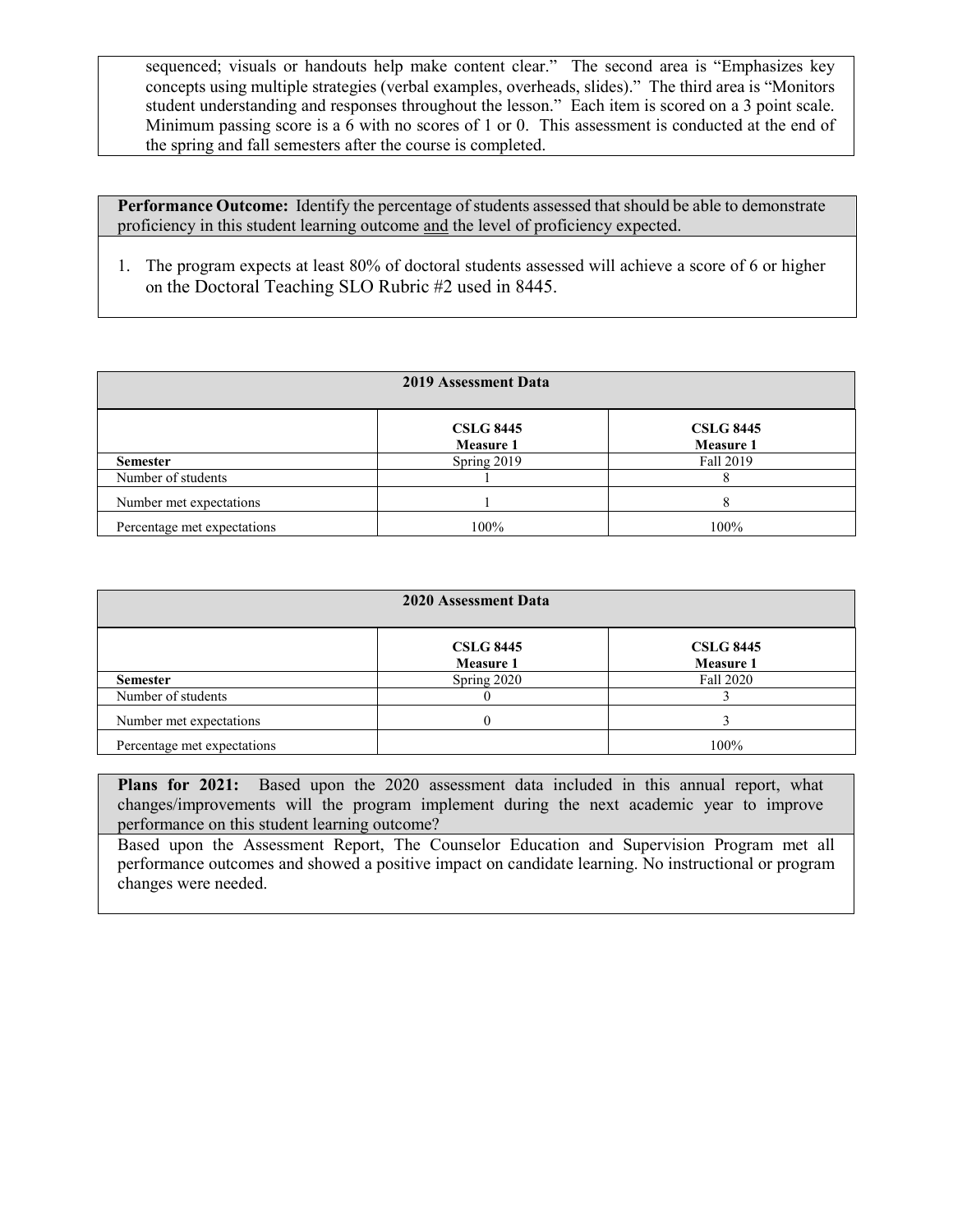sequenced; visuals or handouts help make content clear." The second area is "Emphasizes key concepts using multiple strategies (verbal examples, overheads, slides)." The third area is "Monitors student understanding and responses throughout the lesson." Each item is scored on a 3 point scale. Minimum passing score is a 6 with no scores of 1 or 0. This assessment is conducted at the end of the spring and fall semesters after the course is completed.

**Performance Outcome:** Identify the percentage of students assessed that should be able to demonstrate proficiency in this student learning outcome and the level of proficiency expected.

1. The program expects at least 80% of doctoral students assessed will achieve a score of 6 or higher on the Doctoral Teaching SLO Rubric #2 used in 8445.

| 2019 Assessment Data        |                                      |                                      |  |  |  |
|-----------------------------|--------------------------------------|--------------------------------------|--|--|--|
|                             | <b>CSLG 8445</b><br><b>Measure 1</b> | <b>CSLG 8445</b><br><b>Measure 1</b> |  |  |  |
| <b>Semester</b>             | Spring 2019                          | Fall 2019                            |  |  |  |
| Number of students          |                                      |                                      |  |  |  |
| Number met expectations     |                                      | 8                                    |  |  |  |
| Percentage met expectations | 100%                                 | 100%                                 |  |  |  |

| 2020 Assessment Data        |                                      |                                      |  |  |  |
|-----------------------------|--------------------------------------|--------------------------------------|--|--|--|
|                             | <b>CSLG 8445</b><br><b>Measure 1</b> | <b>CSLG 8445</b><br><b>Measure 1</b> |  |  |  |
| <b>Semester</b>             | Spring 2020                          | Fall 2020                            |  |  |  |
| Number of students          |                                      |                                      |  |  |  |
| Number met expectations     |                                      |                                      |  |  |  |
| Percentage met expectations |                                      | 100%                                 |  |  |  |

**Plans for 2021:** Based upon the 2020 assessment data included in this annual report, what changes/improvements will the program implement during the next academic year to improve performance on this student learning outcome?

Based upon the Assessment Report, The Counselor Education and Supervision Program met all performance outcomes and showed a positive impact on candidate learning. No instructional or program changes were needed.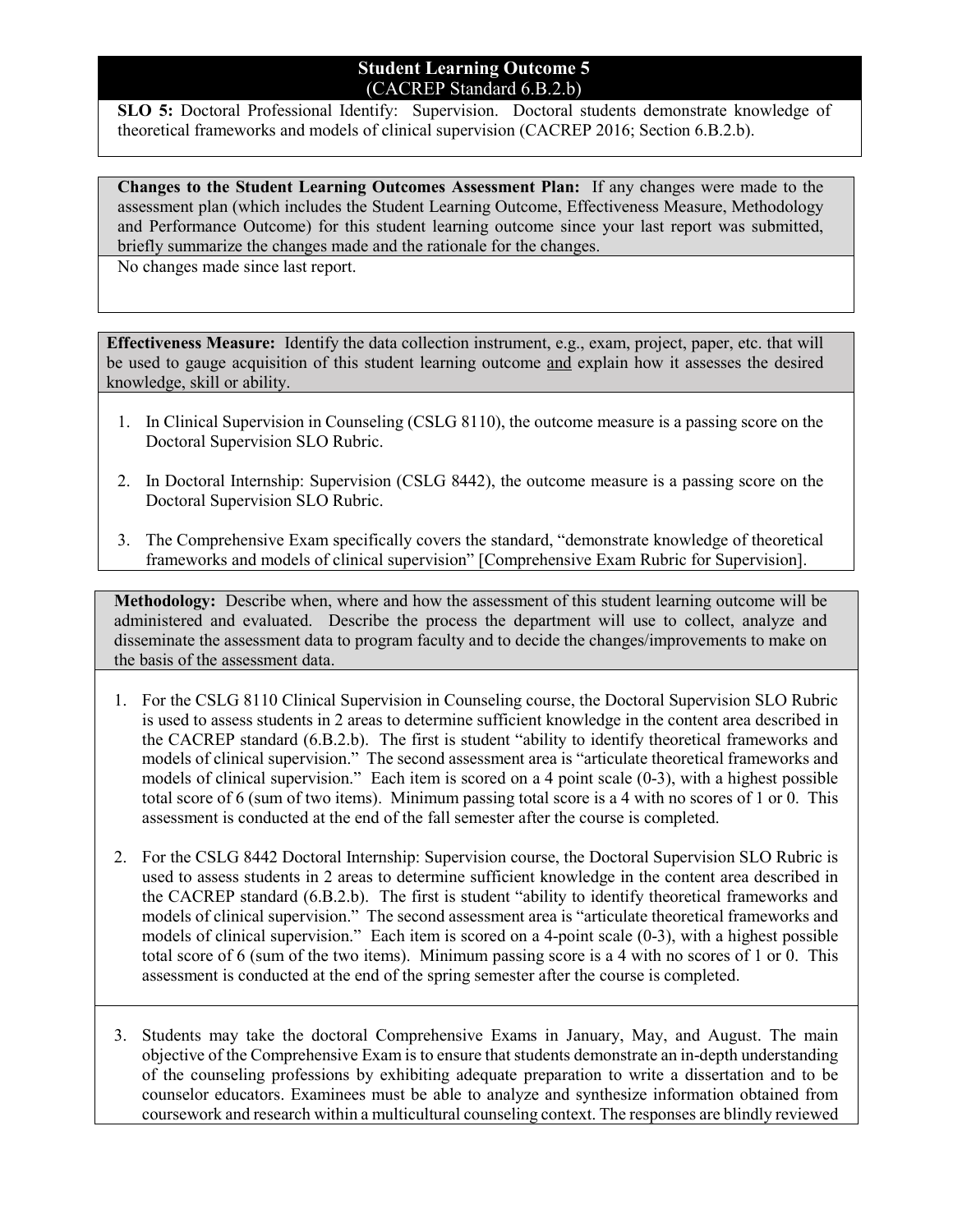#### **Student Learning Outcome 5** (CACREP Standard 6.B.2.b)

**SLO 5:** Doctoral Professional Identify: Supervision. Doctoral students demonstrate knowledge of theoretical frameworks and models of clinical supervision (CACREP 2016; Section 6.B.2.b).

**Changes to the Student Learning Outcomes Assessment Plan:** If any changes were made to the assessment plan (which includes the Student Learning Outcome, Effectiveness Measure, Methodology and Performance Outcome) for this student learning outcome since your last report was submitted, briefly summarize the changes made and the rationale for the changes.

No changes made since last report.

**Effectiveness Measure:** Identify the data collection instrument, e.g., exam, project, paper, etc. that will be used to gauge acquisition of this student learning outcome and explain how it assesses the desired knowledge, skill or ability.

- 1. In Clinical Supervision in Counseling (CSLG 8110), the outcome measure is a passing score on the Doctoral Supervision SLO Rubric.
- 2. In Doctoral Internship: Supervision (CSLG 8442), the outcome measure is a passing score on the Doctoral Supervision SLO Rubric.
- 3. The Comprehensive Exam specifically covers the standard, "demonstrate knowledge of theoretical frameworks and models of clinical supervision" [Comprehensive Exam Rubric for Supervision].

**Methodology:** Describe when, where and how the assessment of this student learning outcome will be administered and evaluated. Describe the process the department will use to collect, analyze and disseminate the assessment data to program faculty and to decide the changes/improvements to make on the basis of the assessment data.

- 1. For the CSLG 8110 Clinical Supervision in Counseling course, the Doctoral Supervision SLO Rubric is used to assess students in 2 areas to determine sufficient knowledge in the content area described in the CACREP standard (6.B.2.b). The first is student "ability to identify theoretical frameworks and models of clinical supervision." The second assessment area is "articulate theoretical frameworks and models of clinical supervision." Each item is scored on a 4 point scale (0-3), with a highest possible total score of 6 (sum of two items). Minimum passing total score is a 4 with no scores of 1 or 0. This assessment is conducted at the end of the fall semester after the course is completed.
- 2. For the CSLG 8442 Doctoral Internship: Supervision course, the Doctoral Supervision SLO Rubric is used to assess students in 2 areas to determine sufficient knowledge in the content area described in the CACREP standard (6.B.2.b). The first is student "ability to identify theoretical frameworks and models of clinical supervision." The second assessment area is "articulate theoretical frameworks and models of clinical supervision." Each item is scored on a 4-point scale (0-3), with a highest possible total score of 6 (sum of the two items). Minimum passing score is a 4 with no scores of 1 or 0. This assessment is conducted at the end of the spring semester after the course is completed.
- 3. Students may take the doctoral Comprehensive Exams in January, May, and August. The main objective of the Comprehensive Exam is to ensure that students demonstrate an in-depth understanding of the counseling professions by exhibiting adequate preparation to write a dissertation and to be counselor educators. Examinees must be able to analyze and synthesize information obtained from coursework and research within a multicultural counseling context. The responses are blindly reviewed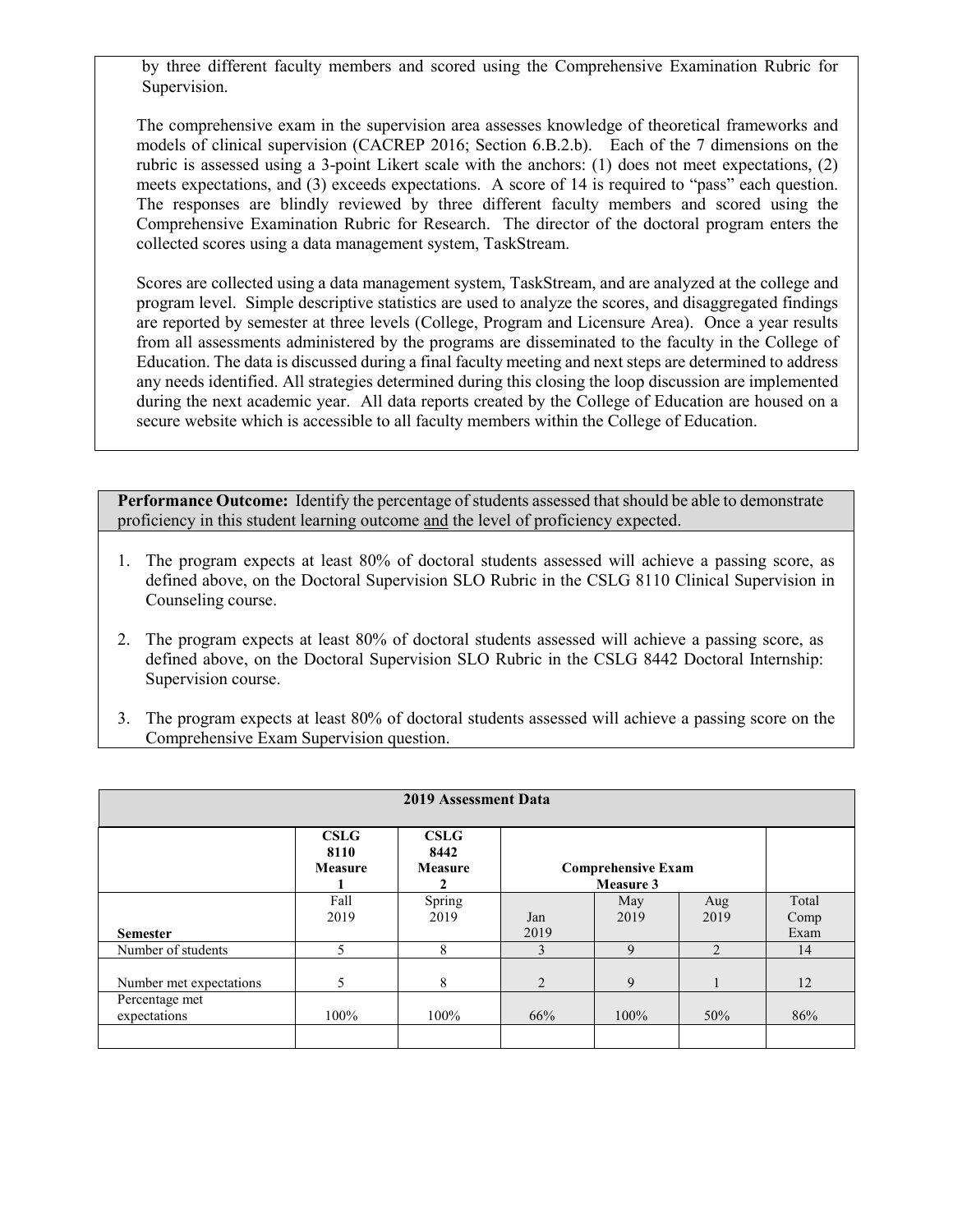by three different faculty members and scored using the Comprehensive Examination Rubric for Supervision.

The comprehensive exam in the supervision area assesses knowledge of theoretical frameworks and models of clinical supervision (CACREP 2016; Section 6.B.2.b). Each of the 7 dimensions on the rubric is assessed using a 3-point Likert scale with the anchors: (1) does not meet expectations, (2) meets expectations, and (3) exceeds expectations. A score of 14 is required to "pass" each question. The responses are blindly reviewed by three different faculty members and scored using the Comprehensive Examination Rubric for Research. The director of the doctoral program enters the collected scores using a data management system, TaskStream.

Scores are collected using a data management system, TaskStream, and are analyzed at the college and program level. Simple descriptive statistics are used to analyze the scores, and disaggregated findings are reported by semester at three levels (College, Program and Licensure Area). Once a year results from all assessments administered by the programs are disseminated to the faculty in the College of Education. The data is discussed during a final faculty meeting and next steps are determined to address any needs identified. All strategies determined during this closing the loop discussion are implemented during the next academic year. All data reports created by the College of Education are housed on a secure website which is accessible to all faculty members within the College of Education.

- 1. The program expects at least 80% of doctoral students assessed will achieve a passing score, as defined above, on the Doctoral Supervision SLO Rubric in the CSLG 8110 Clinical Supervision in Counseling course.
- 2. The program expects at least 80% of doctoral students assessed will achieve a passing score, as defined above, on the Doctoral Supervision SLO Rubric in the CSLG 8442 Doctoral Internship: Supervision course.
- 3. The program expects at least 80% of doctoral students assessed will achieve a passing score on the Comprehensive Exam Supervision question.

| <b>2019 Assessment Data</b>    |                                |                                       |                |                                        |                |               |
|--------------------------------|--------------------------------|---------------------------------------|----------------|----------------------------------------|----------------|---------------|
|                                | <b>CSLG</b><br>8110<br>Measure | <b>CSLG</b><br>8442<br><b>Measure</b> |                | <b>Comprehensive Exam</b><br>Measure 3 |                |               |
|                                | Fall<br>2019                   | Spring<br>2019                        | Jan            | May<br>2019                            | Aug<br>2019    | Total<br>Comp |
| <b>Semester</b>                |                                |                                       | 2019           |                                        |                | Exam          |
| Number of students             | 5                              | 8                                     | $\mathcal{E}$  | 9                                      | $\mathfrak{D}$ | 14            |
| Number met expectations        | 5                              | 8                                     | $\overline{2}$ | 9                                      |                | 12            |
| Percentage met<br>expectations | 100%                           | 100%                                  | 66%            | 100%                                   | 50%            | 86%           |
|                                |                                |                                       |                |                                        |                |               |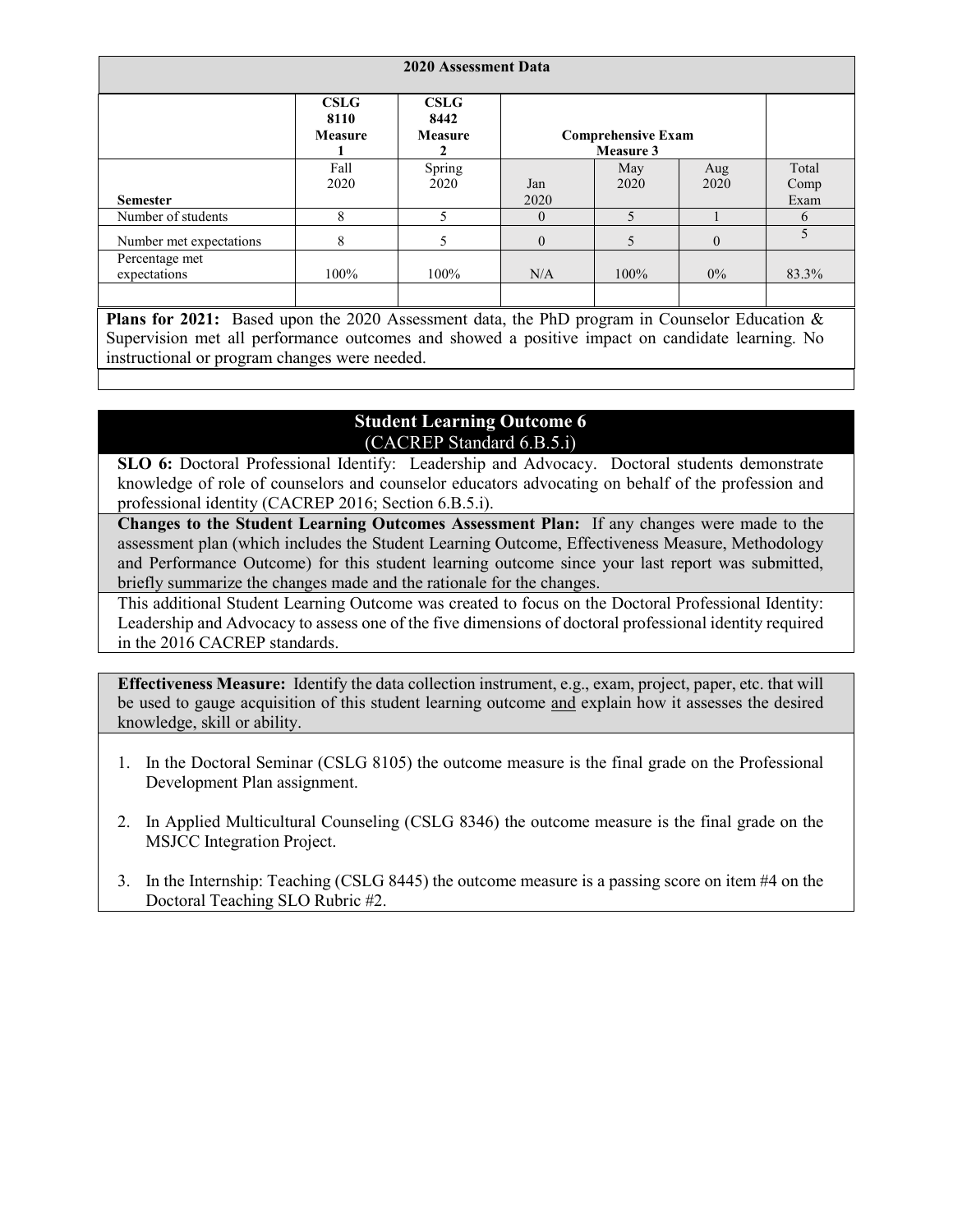| 2020 Assessment Data           |                                       |                                       |             |                                        |             |                          |
|--------------------------------|---------------------------------------|---------------------------------------|-------------|----------------------------------------|-------------|--------------------------|
|                                | <b>CSLG</b><br>8110<br><b>Measure</b> | <b>CSLG</b><br>8442<br><b>Measure</b> |             | <b>Comprehensive Exam</b><br>Measure 3 |             |                          |
| <b>Semester</b>                | Fall<br>2020                          | Spring<br>2020                        | Jan<br>2020 | May<br>2020                            | Aug<br>2020 | Total<br>Comp<br>Exam    |
| Number of students             | 8                                     | 5                                     | $\theta$    | $\overline{5}$                         |             | 6                        |
| Number met expectations        | 8                                     | 5                                     | $\theta$    | 5                                      | $\theta$    | $\overline{\phantom{0}}$ |
| Percentage met<br>expectations | 100%                                  | 100%                                  | N/A         | 100%                                   | $0\%$       | 83.3%                    |

**Plans for 2021:** Based upon the 2020 Assessment data, the PhD program in Counselor Education & Supervision met all performance outcomes and showed a positive impact on candidate learning. No instructional or program changes were needed.

# **Student Learning Outcome 6** (CACREP Standard 6.B.5.i)

**SLO 6:** Doctoral Professional Identify: Leadership and Advocacy. Doctoral students demonstrate knowledge of role of counselors and counselor educators advocating on behalf of the profession and professional identity (CACREP 2016; Section 6.B.5.i).

**Changes to the Student Learning Outcomes Assessment Plan:** If any changes were made to the assessment plan (which includes the Student Learning Outcome, Effectiveness Measure, Methodology and Performance Outcome) for this student learning outcome since your last report was submitted, briefly summarize the changes made and the rationale for the changes.

This additional Student Learning Outcome was created to focus on the Doctoral Professional Identity: Leadership and Advocacy to assess one of the five dimensions of doctoral professional identity required in the 2016 CACREP standards.

**Effectiveness Measure:** Identify the data collection instrument, e.g., exam, project, paper, etc. that will be used to gauge acquisition of this student learning outcome and explain how it assesses the desired knowledge, skill or ability.

- 1. In the Doctoral Seminar (CSLG 8105) the outcome measure is the final grade on the Professional Development Plan assignment.
- 2. In Applied Multicultural Counseling (CSLG 8346) the outcome measure is the final grade on the MSJCC Integration Project.
- 3. In the Internship: Teaching (CSLG 8445) the outcome measure is a passing score on item #4 on the Doctoral Teaching SLO Rubric #2.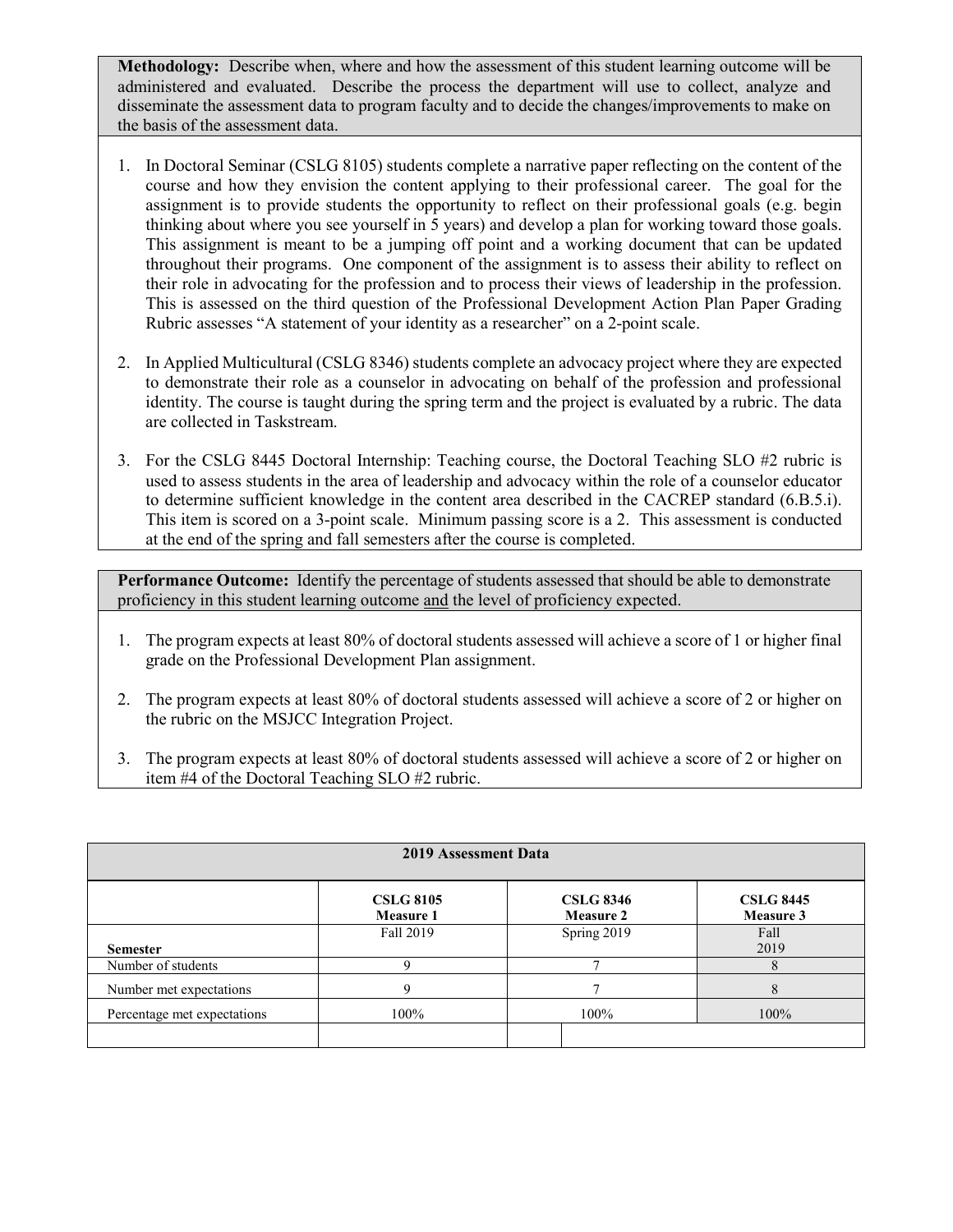**Methodology:** Describe when, where and how the assessment of this student learning outcome will be administered and evaluated. Describe the process the department will use to collect, analyze and disseminate the assessment data to program faculty and to decide the changes/improvements to make on the basis of the assessment data.

- 1. In Doctoral Seminar (CSLG 8105) students complete a narrative paper reflecting on the content of the course and how they envision the content applying to their professional career. The goal for the assignment is to provide students the opportunity to reflect on their professional goals (e.g. begin thinking about where you see yourself in 5 years) and develop a plan for working toward those goals. This assignment is meant to be a jumping off point and a working document that can be updated throughout their programs. One component of the assignment is to assess their ability to reflect on their role in advocating for the profession and to process their views of leadership in the profession. This is assessed on the third question of the Professional Development Action Plan Paper Grading Rubric assesses "A statement of your identity as a researcher" on a 2-point scale.
- 2. In Applied Multicultural (CSLG 8346) students complete an advocacy project where they are expected to demonstrate their role as a counselor in advocating on behalf of the profession and professional identity. The course is taught during the spring term and the project is evaluated by a rubric. The data are collected in Taskstream.
- 3. For the CSLG 8445 Doctoral Internship: Teaching course, the Doctoral Teaching SLO #2 rubric is used to assess students in the area of leadership and advocacy within the role of a counselor educator to determine sufficient knowledge in the content area described in the CACREP standard (6.B.5.i). This item is scored on a 3-point scale. Minimum passing score is a 2. This assessment is conducted at the end of the spring and fall semesters after the course is completed.

- 1. The program expects at least 80% of doctoral students assessed will achieve a score of 1 or higher final grade on the Professional Development Plan assignment.
- 2. The program expects at least 80% of doctoral students assessed will achieve a score of 2 or higher on the rubric on the MSJCC Integration Project.
- 3. The program expects at least 80% of doctoral students assessed will achieve a score of 2 or higher on item #4 of the Doctoral Teaching SLO #2 rubric.

| 2019 Assessment Data        |                               |                                      |                               |  |  |  |
|-----------------------------|-------------------------------|--------------------------------------|-------------------------------|--|--|--|
|                             | <b>CSLG 8105</b><br>Measure 1 | <b>CSLG 8346</b><br><b>Measure 2</b> | <b>CSLG 8445</b><br>Measure 3 |  |  |  |
| <b>Semester</b>             | Fall 2019                     | Spring 2019                          | Fall<br>2019                  |  |  |  |
| Number of students          |                               |                                      | 8                             |  |  |  |
| Number met expectations     | $\mathbf Q$                   |                                      | 8                             |  |  |  |
| Percentage met expectations | 100%                          | 100%                                 | 100%                          |  |  |  |